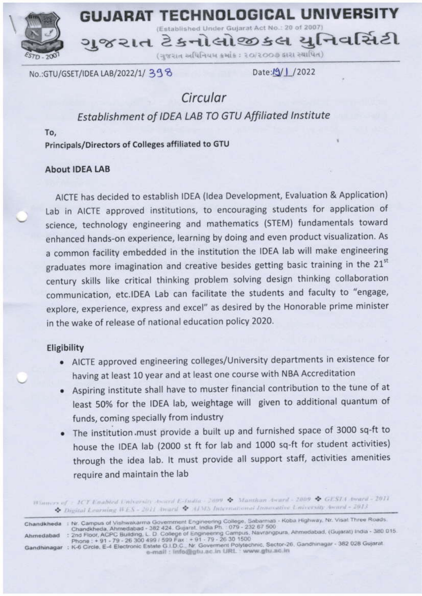**GUJARAT TECHNOLOGICAL UNIVERS** 

Established Under Gujarat Act No.: 20 of 200

જરાત ટેકનોલોજીકલ યનિવર્સિટી

(ગુજરાત અધિનિયમ ક્રમાંક : ૨૦/૨૦૦૭ કારા સ્થાપિત)

No.:GTU/GSET/IDEA LAB/2022/1/398

Date:/9/1 /2022

# Circular

# Establishment of IDEA LAB TO GTU Affiliated Institute

To.

Principals/Directors of Colleges affiliated to GTU

## About IDEA LAB

AICTE has decided to establish IDEA (Idea Development, Evaluation & Application) Lab in AICTE approved institutions, to encouraging students for application of science, technology engineering and mathematics (STEM) fundamentals toward enhanced hands-on experience, learning by doing and even product visualization. As a common facility embedded in the institution the IDEA lab will make engineering graduates more imagination and creative besides getting basic training in the 21st century skills like critical thinking problem solving design thinking collaboration communication, etc.IDEA Lab can facilitate the students and faculty to "engage, explore, experience, express and excel" as desired by the Honorable prime minister in the wake of release of national education policy 2020.

## Eligibility

- AICTE approved engineering colleges/University departments in existence for having at least 10 year and at least one course with NBA Accreditation
- Aspiring institute shall have to muster financial contribution to the tune of at least 50% for the IDEA lab, weightage will given to additional quantum of funds, coming specially from industry
- The institution must provide a built up and furnished space of 3000 sq-ft to house the IDEA lab (2000 st ft for lab and 1000 sq-ft for student activities) through the idea lab. It must provide all support staff, activities amenities require and maintain the lab

Winners of : ICT Enabled University Award E-India - 2009 & Manthun Award - 2009 & GESLA Iward - 2011 C. Digital Learning WES - 2011 Award & ADVS International Innovative University Award - 2013